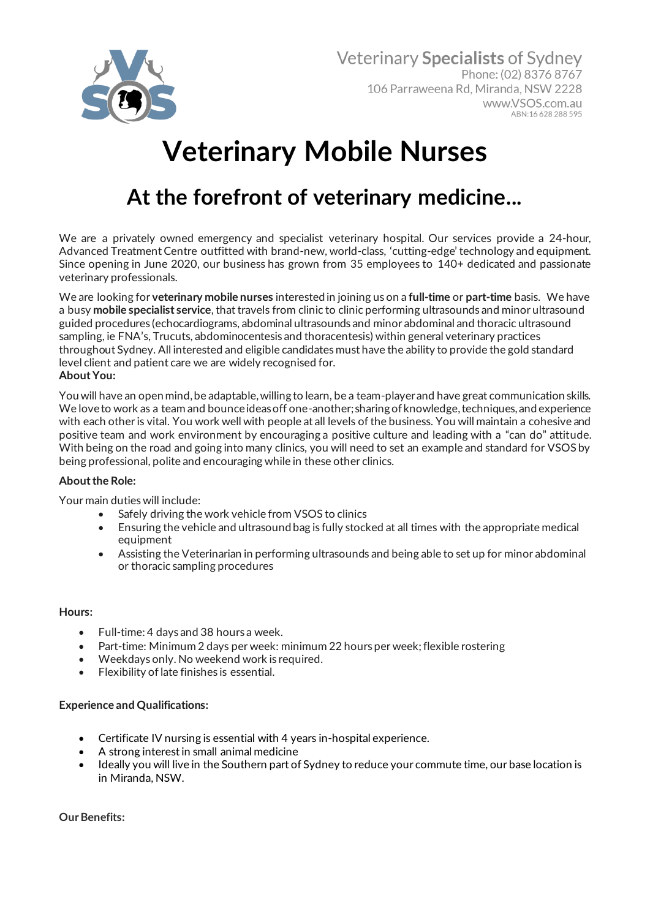

# **Veterinary Mobile Nurses**

# **At the forefront of veterinary medicine...**

We are a privately owned emergency and specialist veterinary hospital. Our services provide a 24-hour, Advanced Treatment Centre outfitted with brand-new, world-class, 'cutting-edge' technology and equipment. Since opening in June 2020, our business has grown from 35 employees to 140+ dedicated and passionate veterinary professionals.

We are looking for **veterinary mobile nurses** interested in joining us on a **full-time** or **part-time** basis. We have a busy **mobile specialist service**, that travels from clinic to clinic performing ultrasounds and minor ultrasound guided procedures (echocardiograms, abdominal ultrasounds and minor abdominal and thoracic ultrasound sampling, ie FNA's, Trucuts, abdominocentesis and thoracentesis) within general veterinary practices throughout Sydney. All interested and eligible candidates must have the ability to provide the gold standard level client and patient care we are widely recognised for. **About You:**

You will have an open mind, be adaptable, willing to learn, be a team-player and have great communication skills. We love to work as a team and bounce ideas off one-another; sharing of knowledge, techniques, and experience with each other is vital. You work well with people at all levels of the business. You will maintain a cohesive and positive team and work environment by encouraging a positive culture and leading with a "can do" attitude. With being on the road and going into many clinics, you will need to set an example and standard for VSOS by being professional, polite and encouraging while in these other clinics.

## **About the Role:**

Your main duties will include:

- Safely driving the work vehicle from VSOS to clinics
- Ensuring the vehicle and ultrasound bag is fully stocked at all times with the appropriate medical equipment
- Assisting the Veterinarian in performing ultrasounds and being able to set up for minor abdominal or thoracic sampling procedures

#### **Hours:**

- Full-time: 4 days and 38 hours a week.
- Part-time: Minimum 2 days per week: minimum 22 hours per week; flexible rostering
- Weekdays only. No weekend work is required.
- Flexibility of late finishes is essential.

#### **Experience and Qualifications:**

- Certificate IV nursing is essential with 4 years in-hospital experience.
- A strong interest in small animal medicine
- Ideally you will live in the Southern part of Sydney to reduce your commute time, our base location is in Miranda, NSW.

**Our Benefits:**